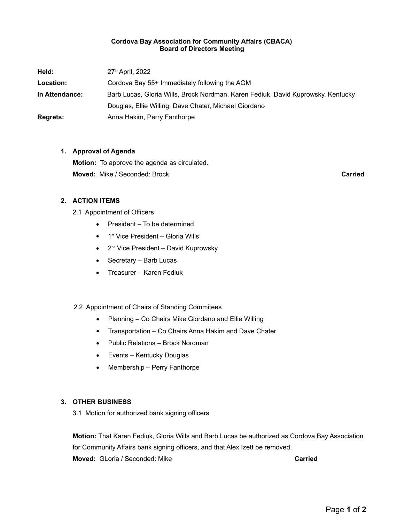# **Cordova Bay Association for Community Affairs (CBACA) Board of Directors Meeting**

| Held:           | 27 <sup>th</sup> April, 2022                                                     |
|-----------------|----------------------------------------------------------------------------------|
| Location:       | Cordova Bay 55+ Immediately following the AGM                                    |
| In Attendance:  | Barb Lucas, Gloria Wills, Brock Nordman, Karen Fediuk, David Kuprowsky, Kentucky |
|                 | Douglas, Ellie Willing, Dave Chater, Michael Giordano                            |
| <b>Regrets:</b> | Anna Hakim, Perry Fanthorpe                                                      |

# **1. Approval of Agenda**

**Motion:** To approve the agenda as circulated. **Moved:** Mike / Seconded: Brock **Carried**

# **2. ACTION ITEMS**

- 2.1 Appointment of Officers
	- President To be determined
	- 1<sup>st</sup> Vice President Gloria Wills
	- 2<sup>nd</sup> Vice President David Kuprowsky
	- Secretary Barb Lucas
	- Treasurer Karen Fediuk

### 2.2 Appointment of Chairs of Standing Commitees

- Planning Co Chairs Mike Giordano and Ellie Willing
- Transportation Co Chairs Anna Hakim and Dave Chater
- Public Relations Brock Nordman
- Events Kentucky Douglas
- Membership Perry Fanthorpe

### **3. OTHER BUSINESS**

3.1 Motion for authorized bank signing officers

**Motion:** That Karen Fediuk, Gloria Wills and Barb Lucas be authorized as Cordova Bay Association for Community Affairs bank signing officers, and that Alex Izett be removed. **Moved:** GLoria / Seconded: Mike **Carried Carried**